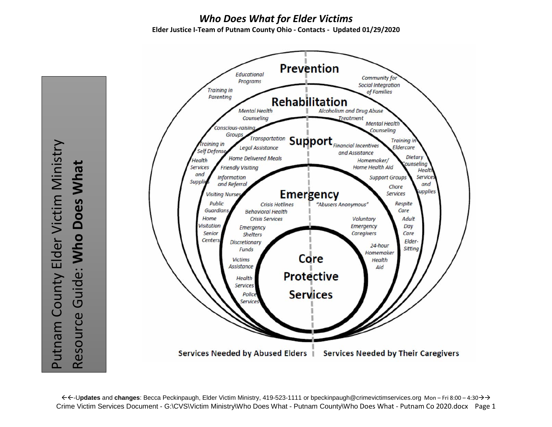### *Who Does What for Elder Victims* **Elder Justice I-Team of Putnam County Ohio - Contacts - Updated 01/29/2020**



-U**pdates** and **changes**: Becca Peckinpaugh, Elder Victim Ministry, 419-523-1111 or bpeckinpaugh@crimevictimservices.org Mon – Fri 8:00 – 4:30 Crime Victim Services Document - G:\CVS\Victim Ministry\Who Does What - Putnam County\Who Does What - Putnam Co 2020.docx Page 1

Putnam County Elder Victim Ministry Putnam County Elder Victim Ministry Resource Guide: Who Does What Resource Guide: **Who Does What**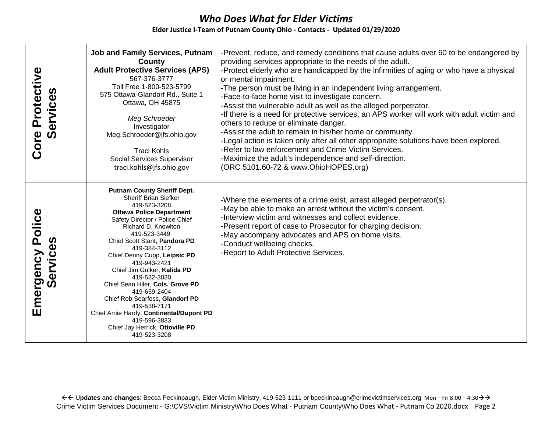| Core Protective<br>Services  | <b>Job and Family Services, Putnam</b><br>County<br><b>Adult Protective Services (APS)</b><br>567-376-3777<br>Toll Free 1-800-523-5799<br>575 Ottawa-Glandorf Rd., Suite 1<br>Ottawa, OH 45875<br>Meg Schroeder<br>Investigator<br>Meg.Schroeder@jfs.ohio.gov<br><b>Traci Kohls</b><br>Social Services Supervisor<br>traci.kohls@jfs.ohio.gov                                                                                                                                                                                                                        | -Prevent, reduce, and remedy conditions that cause adults over 60 to be endangered by<br>providing services appropriate to the needs of the adult.<br>-Protect elderly who are handicapped by the infirmities of aging or who have a physical<br>or mental impairment.<br>-The person must be living in an independent living arrangement.<br>-Face-to-face home visit to investigate concern.<br>-Assist the vulnerable adult as well as the alleged perpetrator.<br>-If there is a need for protective services, an APS worker will work with adult victim and<br>others to reduce or eliminate danger.<br>-Assist the adult to remain in his/her home or community.<br>-Legal action is taken only after all other appropriate solutions have been explored.<br>-Refer to law enforcement and Crime Victim Services.<br>-Maximize the adult's independence and self-direction.<br>(ORC 5101.60-72 & www.OhioHOPES.org) |
|------------------------------|----------------------------------------------------------------------------------------------------------------------------------------------------------------------------------------------------------------------------------------------------------------------------------------------------------------------------------------------------------------------------------------------------------------------------------------------------------------------------------------------------------------------------------------------------------------------|---------------------------------------------------------------------------------------------------------------------------------------------------------------------------------------------------------------------------------------------------------------------------------------------------------------------------------------------------------------------------------------------------------------------------------------------------------------------------------------------------------------------------------------------------------------------------------------------------------------------------------------------------------------------------------------------------------------------------------------------------------------------------------------------------------------------------------------------------------------------------------------------------------------------------|
| Emergency Police<br>Services | <b>Putnam County Sheriff Dept.</b><br><b>Sheriff Brian Siefker</b><br>419-523-3208<br><b>Ottawa Police Department</b><br>Safety Director / Police Chief<br>Richard D. Knowlton<br>419-523-3449<br>Chief Scott Stant, Pandora PD<br>419-384-3112<br>Chief Denny Cupp, Leipsic PD<br>419-943-2421<br>Chief Jim Gulker, Kalida PD<br>419-532-3030<br>Chief Sean Hiler, Cols. Grove PD<br>419-659-2404<br>Chief Rob Searfoss, Glandorf PD<br>419-538-7171<br>Chief Arnie Hardy, Continental/Dupont PD<br>419-596-3833<br>Chief Jay Herrick, Ottoville PD<br>419-523-3208 | -Where the elements of a crime exist, arrest alleged perpetrator(s).<br>-May be able to make an arrest without the victim's consent.<br>-Interview victim and witnesses and collect evidence.<br>-Present report of case to Prosecutor for charging decision.<br>-May accompany advocates and APS on home visits.<br>-Conduct wellbeing checks.<br>-Report to Adult Protective Services.                                                                                                                                                                                                                                                                                                                                                                                                                                                                                                                                  |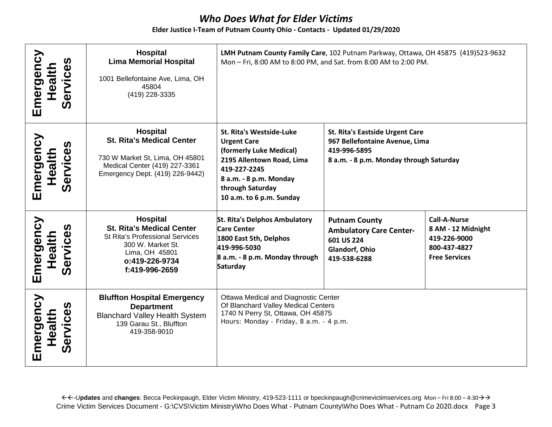#### **Elder Justice I-Team of Putnam County Ohio - Contacts - Updated 01/29/2020**

| Emergency<br>Services<br>Health | Hospital<br><b>Lima Memorial Hospital</b><br>1001 Bellefontaine Ave, Lima, OH<br>45804<br>(419) 228-3335                                                          | LMH Putnam County Family Care, 102 Putnam Parkway, Ottawa, OH 45875 (419)523-9632<br>Mon - Fri, 8:00 AM to 8:00 PM, and Sat. from 8:00 AM to 2:00 PM.                                            |                                                                                                                                     |                                                                                                   |
|---------------------------------|-------------------------------------------------------------------------------------------------------------------------------------------------------------------|--------------------------------------------------------------------------------------------------------------------------------------------------------------------------------------------------|-------------------------------------------------------------------------------------------------------------------------------------|---------------------------------------------------------------------------------------------------|
| Emergency<br>Services<br>Health | <b>Hospital</b><br><b>St. Rita's Medical Center</b><br>730 W Market St, Lima, OH 45801<br>Medical Center (419) 227-3361<br>Emergency Dept. (419) 226-9442)        | St. Rita's Westside-Luke<br><b>Urgent Care</b><br>(formerly Luke Medical)<br>2195 Allentown Road, Lima<br>419-227-2245<br>8 a.m. - 8 p.m. Monday<br>through Saturday<br>10 a.m. to 6 p.m. Sunday | <b>St. Rita's Eastside Urgent Care</b><br>967 Bellefontaine Avenue, Lima<br>419-996-5895<br>8 a.m. - 8 p.m. Monday through Saturday |                                                                                                   |
| Emergency<br>Services<br>Health | Hospital<br><b>St. Rita's Medical Center</b><br><b>St Rita's Professional Services</b><br>300 W. Market St.<br>Lima, OH 45801<br>o:419-226-9734<br>f:419-996-2659 | <b>St. Rita's Delphos Ambulatory</b><br><b>Care Center</b><br>1800 East 5th, Delphos<br>419-996-5030<br>8 a.m. - 8 p.m. Monday through<br>Saturday                                               | <b>Putnam County</b><br><b>Ambulatory Care Center-</b><br>601 US 224<br>Glandorf, Ohio<br>419-538-6288                              | <b>Call-A-Nurse</b><br>8 AM - 12 Midnight<br>419-226-9000<br>800-437-4827<br><b>Free Services</b> |
| Emergency<br>Services<br>Health | <b>Bluffton Hospital Emergency</b><br><b>Department</b><br><b>Blanchard Valley Health System</b><br>139 Garau St., Bluffton<br>419-358-9010                       | Ottawa Medical and Diagnostic Center<br>Of Blanchard Valley Medical Centers<br>1740 N Perry St, Ottawa, OH 45875<br>Hours: Monday - Friday, 8 a.m. - 4 p.m.                                      |                                                                                                                                     |                                                                                                   |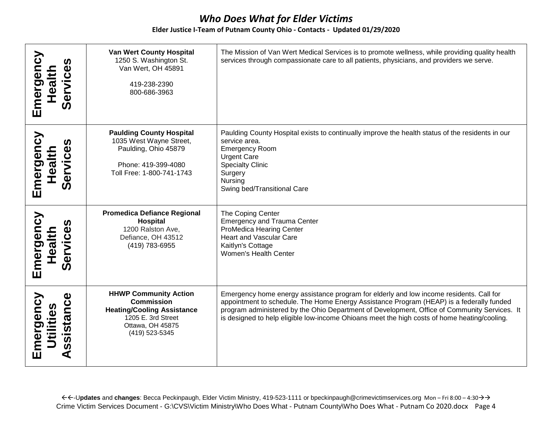#### **Elder Justice I-Team of Putnam County Ohio - Contacts - Updated 01/29/2020**

| Emergency<br>Services<br>Health     | <b>Van Wert County Hospital</b><br>1250 S. Washington St.<br>Van Wert, OH 45891<br>419-238-2390<br>800-686-3963                                    | The Mission of Van Wert Medical Services is to promote wellness, while providing quality health<br>services through compassionate care to all patients, physicians, and providers we serve.                                                                                                                                                                                         |
|-------------------------------------|----------------------------------------------------------------------------------------------------------------------------------------------------|-------------------------------------------------------------------------------------------------------------------------------------------------------------------------------------------------------------------------------------------------------------------------------------------------------------------------------------------------------------------------------------|
| Emergency<br>Services<br>Health     | <b>Paulding County Hospital</b><br>1035 West Wayne Street,<br>Paulding, Ohio 45879<br>Phone: 419-399-4080<br>Toll Free: 1-800-741-1743             | Paulding County Hospital exists to continually improve the health status of the residents in our<br>service area.<br><b>Emergency Room</b><br><b>Urgent Care</b><br><b>Specialty Clinic</b><br>Surgery<br>Nursing<br>Swing bed/Transitional Care                                                                                                                                    |
| Emergency<br>Services<br>Health     | <b>Promedica Defiance Regional</b><br>Hospital<br>1200 Ralston Ave,<br>Defiance, OH 43512<br>(419) 783-6955                                        | The Coping Center<br><b>Emergency and Trauma Center</b><br>ProMedica Hearing Center<br>Heart and Vascular Care<br>Kaitlyn's Cottage<br>Women's Health Center                                                                                                                                                                                                                        |
| ssistance<br>Emergency<br>Utilities | <b>HHWP Community Action</b><br><b>Commission</b><br><b>Heating/Cooling Assistance</b><br>1205 E. 3rd Street<br>Ottawa, OH 45875<br>(419) 523-5345 | Emergency home energy assistance program for elderly and low income residents. Call for<br>appointment to schedule. The Home Energy Assistance Program (HEAP) is a federally funded<br>program administered by the Ohio Department of Development, Office of Community Services. It<br>is designed to help eligible low-income Ohioans meet the high costs of home heating/cooling. |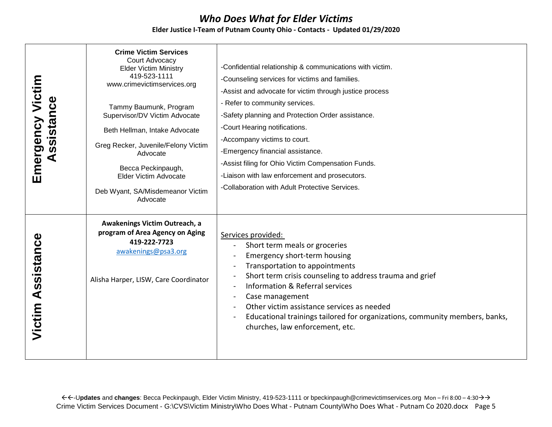| Emergency Victim<br>Assistance | <b>Crime Victim Services</b><br>Court Advocacy<br><b>Elder Victim Ministry</b><br>419-523-1111<br>www.crimevictimservices.org<br>Tammy Baumunk, Program<br>Supervisor/DV Victim Advocate<br>Beth Hellman, Intake Advocate<br>Greg Recker, Juvenile/Felony Victim<br>Advocate<br>Becca Peckinpaugh,<br>Elder Victim Advocate<br>Deb Wyant, SA/Misdemeanor Victim<br>Advocate | -Confidential relationship & communications with victim.<br>-Counseling services for victims and families.<br>-Assist and advocate for victim through justice process<br>- Refer to community services.<br>-Safety planning and Protection Order assistance.<br>-Court Hearing notifications.<br>-Accompany victims to court.<br>-Emergency financial assistance.<br>-Assist filing for Ohio Victim Compensation Funds.<br>-Liaison with law enforcement and prosecutors.<br>-Collaboration with Adult Protective Services. |
|--------------------------------|-----------------------------------------------------------------------------------------------------------------------------------------------------------------------------------------------------------------------------------------------------------------------------------------------------------------------------------------------------------------------------|-----------------------------------------------------------------------------------------------------------------------------------------------------------------------------------------------------------------------------------------------------------------------------------------------------------------------------------------------------------------------------------------------------------------------------------------------------------------------------------------------------------------------------|
| <b>Victim Assistance</b>       | Awakenings Victim Outreach, a<br>program of Area Agency on Aging<br>419-222-7723<br>awakenings@psa3.org<br>Alisha Harper, LISW, Care Coordinator                                                                                                                                                                                                                            | Services provided:<br>Short term meals or groceries<br>Emergency short-term housing<br>Transportation to appointments<br>Short term crisis counseling to address trauma and grief<br>Information & Referral services<br>Case management<br>Other victim assistance services as needed<br>Educational trainings tailored for organizations, community members, banks,<br>churches, law enforcement, etc.                                                                                                                     |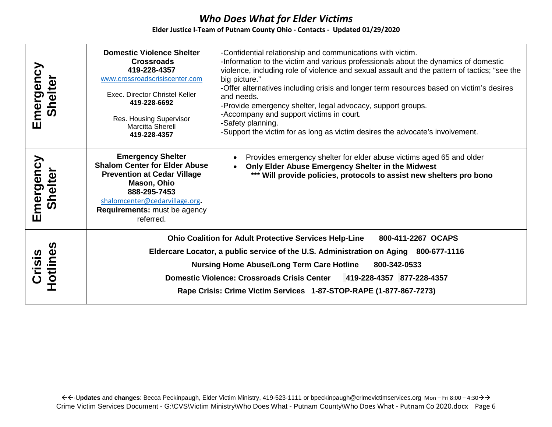| Emergency<br>Shelter | <b>Domestic Violence Shelter</b><br><b>Crossroads</b><br>419-228-4357<br>www.crossroadscrisiscenter.com<br>Exec. Director Christel Keller<br>419-228-6692<br>Res. Housing Supervisor<br><b>Marcitta Sherell</b><br>419-228-4357                                                                                                                                                                | -Confidential relationship and communications with victim.<br>-Information to the victim and various professionals about the dynamics of domestic<br>violence, including role of violence and sexual assault and the pattern of tactics; "see the<br>big picture."<br>-Offer alternatives including crisis and longer term resources based on victim's desires<br>and needs.<br>-Provide emergency shelter, legal advocacy, support groups.<br>-Accompany and support victims in court.<br>-Safety planning.<br>-Support the victim for as long as victim desires the advocate's involvement. |
|----------------------|------------------------------------------------------------------------------------------------------------------------------------------------------------------------------------------------------------------------------------------------------------------------------------------------------------------------------------------------------------------------------------------------|-----------------------------------------------------------------------------------------------------------------------------------------------------------------------------------------------------------------------------------------------------------------------------------------------------------------------------------------------------------------------------------------------------------------------------------------------------------------------------------------------------------------------------------------------------------------------------------------------|
| Emergency<br>Shelter | <b>Emergency Shelter</b><br><b>Shalom Center for Elder Abuse</b><br><b>Prevention at Cedar Village</b><br>Mason, Ohio<br>888-295-7453<br>shalomcenter@cedarvillage.org.<br><b>Requirements:</b> must be agency<br>referred.                                                                                                                                                                    | Provides emergency shelter for elder abuse victims aged 65 and older<br>$\bullet$<br>Only Elder Abuse Emergency Shelter in the Midwest<br>*** Will provide policies, protocols to assist new shelters pro bono                                                                                                                                                                                                                                                                                                                                                                                |
| Crisis<br>Hotlines   | <b>Ohio Coalition for Adult Protective Services Help-Line</b><br>800-411-2267 OCAPS<br>Eldercare Locator, a public service of the U.S. Administration on Aging 800-677-1116<br><b>Nursing Home Abuse/Long Term Care Hotline</b><br>800-342-0533<br>Domestic Violence: Crossroads Crisis Center 419-228-4357 877-228-4357<br>Rape Crisis: Crime Victim Services 1-87-STOP-RAPE (1-877-867-7273) |                                                                                                                                                                                                                                                                                                                                                                                                                                                                                                                                                                                               |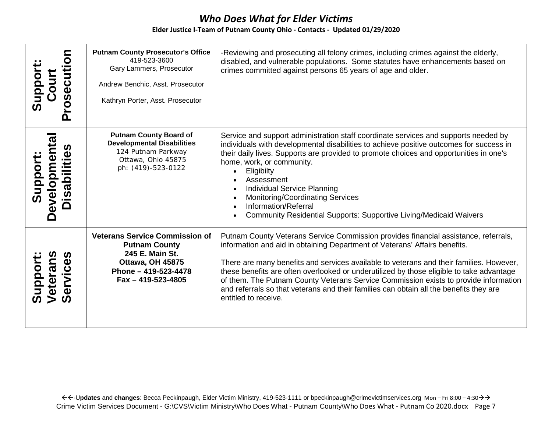| Ù<br>Ū                         | <b>Putnam County Prosecutor's Office</b><br>419-523-3600<br>Gary Lammers, Prosecutor<br>Andrew Benchic, Asst. Prosecutor<br>Kathryn Porter, Asst. Prosecutor | -Reviewing and prosecuting all felony crimes, including crimes against the elderly,<br>disabled, and vulnerable populations. Some statutes have enhancements based on<br>crimes committed against persons 65 years of age and older.                                                                                                                                                                                                                                                                                                                               |
|--------------------------------|--------------------------------------------------------------------------------------------------------------------------------------------------------------|--------------------------------------------------------------------------------------------------------------------------------------------------------------------------------------------------------------------------------------------------------------------------------------------------------------------------------------------------------------------------------------------------------------------------------------------------------------------------------------------------------------------------------------------------------------------|
|                                | <b>Putnam County Board of</b><br><b>Developmental Disabilities</b><br>124 Putnam Parkway<br>Ottawa, Ohio 45875<br>ph: (419)-523-0122                         | Service and support administration staff coordinate services and supports needed by<br>individuals with developmental disabilities to achieve positive outcomes for success in<br>their daily lives. Supports are provided to promote choices and opportunities in one's<br>home, work, or community.<br>Eligibilty<br>Assessment<br><b>Individual Service Planning</b><br>Monitoring/Coordinating Services<br>Information/Referral<br>Community Residential Supports: Supportive Living/Medicaid Waivers                                                          |
| ippor<br>$\tilde{\bm{\omega}}$ | <b>Veterans Service Commission of</b><br><b>Putnam County</b><br>245 E. Main St.<br>Ottawa, OH 45875<br>Phone - 419-523-4478<br>Fax - 419-523-4805           | Putnam County Veterans Service Commission provides financial assistance, referrals,<br>information and aid in obtaining Department of Veterans' Affairs benefits.<br>There are many benefits and services available to veterans and their families. However,<br>these benefits are often overlooked or underutilized by those eligible to take advantage<br>of them. The Putnam County Veterans Service Commission exists to provide information<br>and referrals so that veterans and their families can obtain all the benefits they are<br>entitled to receive. |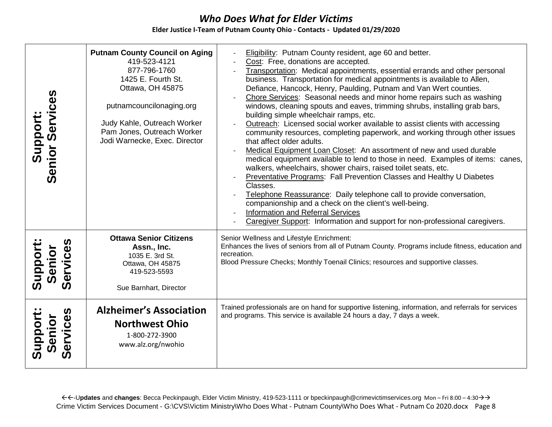#### **Elder Justice I-Team of Putnam County Ohio - Contacts - Updated 01/29/2020**

| <b>Support:<br/>Senior Services</b> | <b>Putnam County Council on Aging</b><br>419-523-4121<br>877-796-1760<br>1425 E. Fourth St.<br>Ottawa, OH 45875<br>putnamcouncilonaging.org<br>Judy Kahle, Outreach Worker<br>Pam Jones, Outreach Worker<br>Jodi Warnecke, Exec. Director | Eligibility: Putnam County resident, age 60 and better.<br>Cost: Free, donations are accepted.<br>Transportation: Medical appointments, essential errands and other personal<br>business. Transportation for medical appointments is available to Allen,<br>Defiance, Hancock, Henry, Paulding, Putnam and Van Wert counties.<br>Chore Services: Seasonal needs and minor home repairs such as washing<br>windows, cleaning spouts and eaves, trimming shrubs, installing grab bars,<br>building simple wheelchair ramps, etc.<br>Outreach: Licensed social worker available to assist clients with accessing<br>community resources, completing paperwork, and working through other issues<br>that affect older adults.<br>Medical Equipment Loan Closet: An assortment of new and used durable<br>medical equipment available to lend to those in need. Examples of items: canes,<br>walkers, wheelchairs, shower chairs, raised toilet seats, etc.<br>Preventative Programs: Fall Prevention Classes and Healthy U Diabetes<br>Classes.<br>Telephone Reassurance: Daily telephone call to provide conversation,<br>companionship and a check on the client's well-being.<br>Information and Referral Services<br>Caregiver Support: Information and support for non-professional caregivers. |
|-------------------------------------|-------------------------------------------------------------------------------------------------------------------------------------------------------------------------------------------------------------------------------------------|--------------------------------------------------------------------------------------------------------------------------------------------------------------------------------------------------------------------------------------------------------------------------------------------------------------------------------------------------------------------------------------------------------------------------------------------------------------------------------------------------------------------------------------------------------------------------------------------------------------------------------------------------------------------------------------------------------------------------------------------------------------------------------------------------------------------------------------------------------------------------------------------------------------------------------------------------------------------------------------------------------------------------------------------------------------------------------------------------------------------------------------------------------------------------------------------------------------------------------------------------------------------------------------------------|
| Services<br>Senior<br>Suppor        | <b>Ottawa Senior Citizens</b><br>Assn., Inc.<br>1035 E. 3rd St.<br>Ottawa, OH 45875<br>419-523-5593<br>Sue Barnhart, Director                                                                                                             | Senior Wellness and Lifestyle Enrichment:<br>Enhances the lives of seniors from all of Putnam County. Programs include fitness, education and<br>recreation.<br>Blood Pressure Checks; Monthly Toenail Clinics; resources and supportive classes.                                                                                                                                                                                                                                                                                                                                                                                                                                                                                                                                                                                                                                                                                                                                                                                                                                                                                                                                                                                                                                                |
| Services<br>Support<br>Senior       | <b>Alzheimer's Association</b><br><b>Northwest Ohio</b><br>1-800-272-3900<br>www.alz.org/nwohio                                                                                                                                           | Trained professionals are on hand for supportive listening, information, and referrals for services<br>and programs. This service is available 24 hours a day, 7 days a week.                                                                                                                                                                                                                                                                                                                                                                                                                                                                                                                                                                                                                                                                                                                                                                                                                                                                                                                                                                                                                                                                                                                    |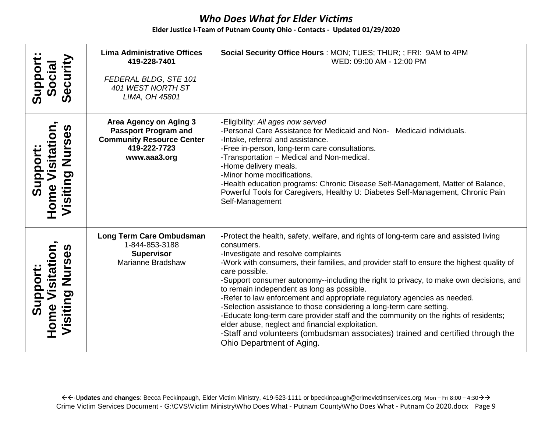|                                                       | <b>Lima Administrative Offices</b><br>419-228-7401                                                                        | Social Security Office Hours: MON; TUES; THUR; ; FRI: 9AM to 4PM<br>WED: 09:00 AM - 12:00 PM                                                                                                                                                                                                                                                                                                                                                                                                                                                                                                                                                                                                                                                                                                                      |
|-------------------------------------------------------|---------------------------------------------------------------------------------------------------------------------------|-------------------------------------------------------------------------------------------------------------------------------------------------------------------------------------------------------------------------------------------------------------------------------------------------------------------------------------------------------------------------------------------------------------------------------------------------------------------------------------------------------------------------------------------------------------------------------------------------------------------------------------------------------------------------------------------------------------------------------------------------------------------------------------------------------------------|
| Security<br>Social<br>Suppor                          | FEDERAL BLDG, STE 101<br>401 WEST NORTH ST<br>LIMA, OH 45801                                                              |                                                                                                                                                                                                                                                                                                                                                                                                                                                                                                                                                                                                                                                                                                                                                                                                                   |
| Nurses<br>Visitatio<br>Support<br>ome Vi<br>/isiting  | Area Agency on Aging 3<br><b>Passport Program and</b><br><b>Community Resource Center</b><br>419-222-7723<br>www.aaa3.org | -Eligibility: All ages now served<br>-Personal Care Assistance for Medicaid and Non- Medicaid individuals.<br>-Intake, referral and assistance.<br>-Free in-person, long-term care consultations.<br>-Transportation - Medical and Non-medical.<br>-Home delivery meals.<br>-Minor home modifications.<br>-Health education programs: Chronic Disease Self-Management, Matter of Balance,<br>Powerful Tools for Caregivers, Healthy U: Diabetes Self-Management, Chronic Pain<br>Self-Management                                                                                                                                                                                                                                                                                                                  |
| Nurses<br>Visitatio<br>Support<br>Home Vi<br>Visiting | Long Term Care Ombudsman<br>1-844-853-3188<br><b>Supervisor</b><br>Marianne Bradshaw                                      | -Protect the health, safety, welfare, and rights of long-term care and assisted living<br>consumers.<br>-Investigate and resolve complaints<br>-Work with consumers, their families, and provider staff to ensure the highest quality of<br>care possible.<br>-Support consumer autonomy--including the right to privacy, to make own decisions, and<br>to remain independent as long as possible.<br>-Refer to law enforcement and appropriate regulatory agencies as needed.<br>-Selection assistance to those considering a long-term care setting.<br>-Educate long-term care provider staff and the community on the rights of residents;<br>elder abuse, neglect and financial exploitation.<br>-Staff and volunteers (ombudsman associates) trained and certified through the<br>Ohio Department of Aging. |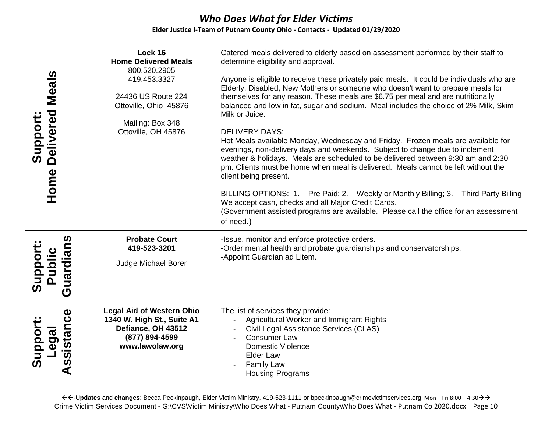#### **Elder Justice I-Team of Putnam County Ohio - Contacts - Updated 01/29/2020**

| Support:<br>Delivered Meals<br>Home                       | Lock 16<br><b>Home Delivered Meals</b><br>800.520.2905<br>419.453.3327<br>24436 US Route 224<br>Ottoville, Ohio 45876<br>Mailing: Box 348<br>Ottoville, OH 45876 | Catered meals delivered to elderly based on assessment performed by their staff to<br>determine eligibility and approval.<br>Anyone is eligible to receive these privately paid meals. It could be individuals who are<br>Elderly, Disabled, New Mothers or someone who doesn't want to prepare meals for<br>themselves for any reason. These meals are \$6.75 per meal and are nutritionally<br>balanced and low in fat, sugar and sodium. Meal includes the choice of 2% Milk, Skim<br>Milk or Juice.<br><b>DELIVERY DAYS:</b><br>Hot Meals available Monday, Wednesday and Friday. Frozen meals are available for<br>evenings, non-delivery days and weekends. Subject to change due to inclement<br>weather & holidays. Meals are scheduled to be delivered between 9:30 am and 2:30<br>pm. Clients must be home when meal is delivered. Meals cannot be left without the<br>client being present.<br>BILLING OPTIONS: 1. Pre Paid; 2. Weekly or Monthly Billing; 3. Third Party Billing<br>We accept cash, checks and all Major Credit Cards.<br>(Government assisted programs are available. Please call the office for an assessment<br>of need.) |
|-----------------------------------------------------------|------------------------------------------------------------------------------------------------------------------------------------------------------------------|----------------------------------------------------------------------------------------------------------------------------------------------------------------------------------------------------------------------------------------------------------------------------------------------------------------------------------------------------------------------------------------------------------------------------------------------------------------------------------------------------------------------------------------------------------------------------------------------------------------------------------------------------------------------------------------------------------------------------------------------------------------------------------------------------------------------------------------------------------------------------------------------------------------------------------------------------------------------------------------------------------------------------------------------------------------------------------------------------------------------------------------------------------|
| uardians<br>Support<br>Public<br>$\bar{\bm{\sigma}}$      | <b>Probate Court</b><br>419-523-3201<br>Judge Michael Borer                                                                                                      | -Issue, monitor and enforce protective orders.<br>-Order mental health and probate guardianships and conservatorships.<br>-Appoint Guardian ad Litem.                                                                                                                                                                                                                                                                                                                                                                                                                                                                                                                                                                                                                                                                                                                                                                                                                                                                                                                                                                                                    |
| sistance<br>Suppor<br>Legal<br>$\boldsymbol{\omega}$<br>⋖ | <b>Legal Aid of Western Ohio</b><br>1340 W. High St., Suite A1<br>Defiance, OH 43512<br>(877) 894-4599<br>www.lawolaw.org                                        | The list of services they provide:<br>Agricultural Worker and Immigrant Rights<br>Civil Legal Assistance Services (CLAS)<br><b>Consumer Law</b><br><b>Domestic Violence</b><br>Elder Law<br><b>Family Law</b><br><b>Housing Programs</b>                                                                                                                                                                                                                                                                                                                                                                                                                                                                                                                                                                                                                                                                                                                                                                                                                                                                                                                 |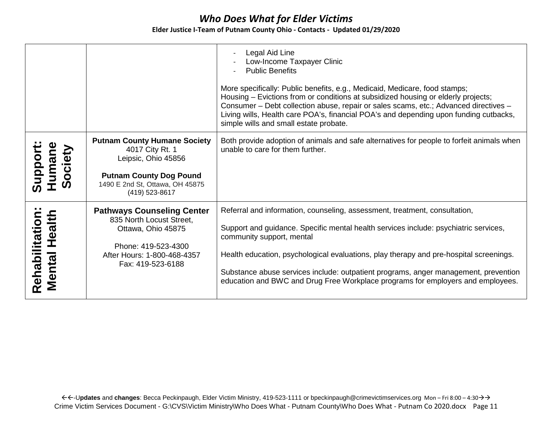|                                        |                                                                                                                                                                      | Legal Aid Line<br>Low-Income Taxpayer Clinic<br><b>Public Benefits</b><br>More specifically: Public benefits, e.g., Medicaid, Medicare, food stamps;<br>Housing – Evictions from or conditions at subsidized housing or elderly projects;<br>Consumer - Debt collection abuse, repair or sales scams, etc.; Advanced directives -<br>Living wills, Health care POA's, financial POA's and depending upon funding cutbacks,<br>simple wills and small estate probate. |
|----------------------------------------|----------------------------------------------------------------------------------------------------------------------------------------------------------------------|----------------------------------------------------------------------------------------------------------------------------------------------------------------------------------------------------------------------------------------------------------------------------------------------------------------------------------------------------------------------------------------------------------------------------------------------------------------------|
| umane<br><b>Society</b><br>Suppor      | <b>Putnam County Humane Society</b><br>4017 City Rt. 1<br>Leipsic, Ohio 45856<br><b>Putnam County Dog Pound</b><br>1490 E 2nd St, Ottawa, OH 45875<br>(419) 523-8617 | Both provide adoption of animals and safe alternatives for people to forfeit animals when<br>unable to care for them further.                                                                                                                                                                                                                                                                                                                                        |
| .,<br>Rehabilitation:<br>Mental Health | <b>Pathways Counseling Center</b><br>835 North Locust Street,<br>Ottawa, Ohio 45875<br>Phone: 419-523-4300<br>After Hours: 1-800-468-4357<br>Fax: 419-523-6188       | Referral and information, counseling, assessment, treatment, consultation,<br>Support and guidance. Specific mental health services include: psychiatric services,<br>community support, mental<br>Health education, psychological evaluations, play therapy and pre-hospital screenings.<br>Substance abuse services include: outpatient programs, anger management, prevention<br>education and BWC and Drug Free Workplace programs for employers and employees.  |